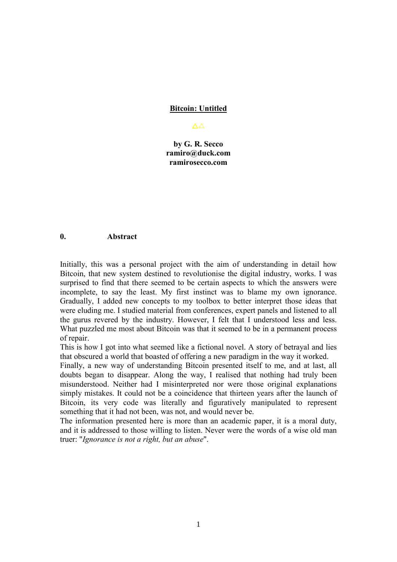### **Bitcoin: Untitled**

#### $\Delta \Delta$

**by G. R. Secco [ramiro@duck.com](mailto:ramiro@duck.com) ramirosecco.com**

### **0. Abstract**

Initially, this was a personal project with the aim of understanding in detail how Bitcoin, that new system destined to revolutionise the digital industry, works. I was surprised to find that there seemed to be certain aspects to which the answers were incomplete, to say the least. My first instinct was to blame my own ignorance. Gradually, I added new concepts to my toolbox to better interpret those ideas that were eluding me. I studied material from conferences, expert panels and listened to all the gurus revered by the industry. However, I felt that I understood less and less. What puzzled me most about Bitcoin was that it seemed to be in a permanent process of repair.

This is how I got into what seemed like a fictional novel. A story of betrayal and lies that obscured a world that boasted of offering a new paradigm in the way it worked.

Finally, a new way of understanding Bitcoin presented itself to me, and at last, all doubts began to disappear. Along the way, I realised that nothing had truly been misunderstood. Neither had I misinterpreted nor were those original explanations simply mistakes. It could not be a coincidence that thirteen years after the launch of Bitcoin, its very code was literally and figuratively manipulated to represent something that it had not been, was not, and would never be.

The information presented here is more than an academic paper, it is a moral duty, and it is addressed to those willing to listen. Never were the words of a wise old man truer: "*Ignorance is not a right, but an abuse*".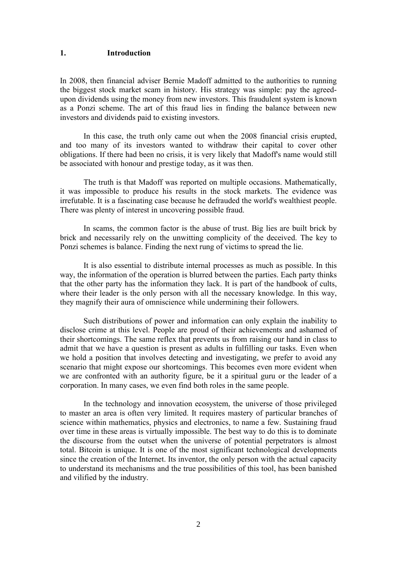#### **1. Introduction**

In 2008, then financial adviser Bernie Madoff admitted to the authorities to running the biggest stock market scam in history. His strategy was simple: pay the agreed upon dividends using the money from new investors. This fraudulent system is known as a Ponzi scheme. The art of this fraud lies in finding the balance between new investors and dividends paid to existing investors.

In this case, the truth only came out when the 2008 financial crisis erupted, and too many of its investors wanted to withdraw their capital to cover other obligations. If there had been no crisis, it is very likely that Madoff's name would still be associated with honour and prestige today, as it was then.

The truth is that Madoff was reported on multiple occasions. Mathematically, it was impossible to produce his results in the stock markets. The evidence was irrefutable. It is a fascinating case because he defrauded the world's wealthiest people. There was plenty of interest in uncovering possible fraud.

In scams, the common factor is the abuse of trust. Big lies are built brick by brick and necessarily rely on the unwitting complicity of the deceived. The key to Ponzi schemes is balance. Finding the next rung of victims to spread the lie.

It is also essential to distribute internal processes as much as possible. In this way, the information of the operation is blurred between the parties. Each party thinks that the other party has the information they lack. It is part of the handbook of cults, where their leader is the only person with all the necessary knowledge. In this way, they magnify their aura of omniscience while undermining their followers.

Such distributions of power and information can only explain the inability to disclose crime at this level. People are proud of their achievements and ashamed of their shortcomings. The same reflex that prevents us from raising our hand in class to admit that we have a question is present as adults in fulfilling our tasks. Even when we hold a position that involves detecting and investigating, we prefer to avoid any scenario that might expose our shortcomings. This becomes even more evident when we are confronted with an authority figure, be it a spiritual guru or the leader of a corporation. In many cases, we even find both roles in the same people.

In the technology and innovation ecosystem, the universe of those privileged to master an area isoften very limited. It requires mastery of particular branches of science within mathematics, physics and electronics, to name a few. Sustaining fraud over time in these areas is virtually impossible. The best way to do this is to dominate the discourse from the outset when the universe of potential perpetrators is almost total. Bitcoin is unique. It is one of the most significant technological developments since the creation of the Internet. Its inventor, the only person with the actual capacity to understand its mechanisms and the true possibilities of this tool, has been banished and vilified by the industry.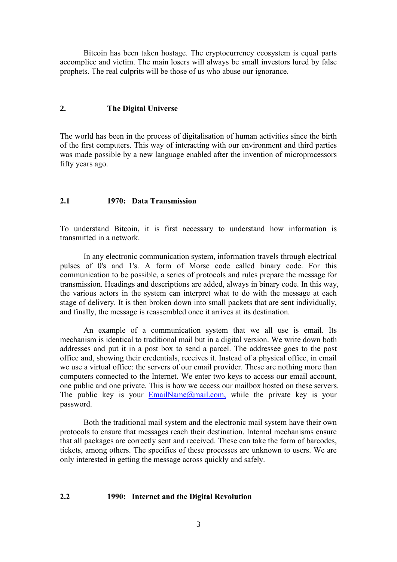Bitcoin has been taken hostage. The cryptocurrency ecosystem is equal parts accomplice and victim. The main losers will always be small investors lured by false prophets. The real culprits will be those of us who abuse our ignorance.

# **2. The DigitalUniverse**

The world has been in the process of digitalisation of human activities since the birth of the first computers. This way of interacting with our environment and third parties was made possible by a new language enabled after the invention of microprocessors fifty years ago.

# **2.1 1970: Data Transmission**

To understand Bitcoin, it is first necessary to understand how information is transmitted in a network.

In any electronic communication system, information travels through electrical pulses of 0's and 1's. A form of Morse code called binary code. For this communication to be possible, a series of protocols and rules prepare the message for transmission. Headings and descriptions are added, always in binary code. In this way, the various actors in the system can interpret what to do with the message at each stage of delivery. It is then broken down into small packets that are sent individually, and finally, the message is reassembled once it arrives at its destination.

An example of a communication system that we all use is email. Its mechanism is identical to traditional mail but in a digital version. We write down both addresses and put it in a post box to send a parcel. The addressee goes to the post office and, showing their credentials, receives it. Instead of a physical office, in email we use a virtual office: the servers of our email provider. These are nothing more than computers connected to the Internet. We enter two keys to access our email account, one public and one private. This is how we access our mailbox hosted on these servers. The public key is your  $EmailName@mail.com$ , while the private key is your password.

Both the traditional mail system and the electronic mail system have their own protocols to ensure that messages reach their destination. Internal mechanisms ensure that all packages are correctly sent and received. These can take the form of barcodes, tickets, among others. The specifics of these processes are unknown to users. We are only interested in getting the message across quickly and safely.

# **2.2 1990: Internet and the Digital Revolution**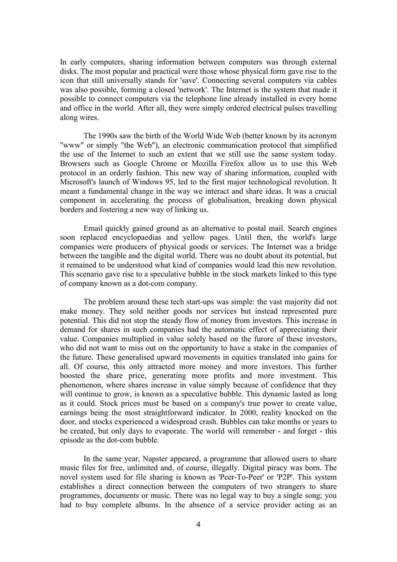In early computers, sharing information between computers was through external disks. The most popular and practical were those whose physical form gave rise to the icon that still universally stands for 'save'. Connecting several computers via cables was also possible, forming a closed 'network'. The Internet is the system that made it possible to connect computers via the telephone line already installed in every home and office in the world. After all, they were simply ordered electrical pulses travelling along wires.

The 1990s saw the birth of the World Wide Web (better known by its acronym "www" or simply "the Web"), an electronic communication protocol that simplified the use of the Internet to such an extent that we still use the same system today. Browsers such as Google Chrome or Mozilla Firefox allow us to use this Web protocol in an orderly fashion. This new way of sharing information, coupled with Microsoft's launch of Windows 95, led to the first major technological revolution. It meant a fundamental change in the way we interact and share ideas. It was a crucial component in accelerating the process of globalisation, breaking down physical borders and fostering a new way of linking us.

Email quickly gained ground as an alternative to postal mail. Search engines soon replaced encyclopaedias and yellow pages. Until then, the world's large companies were producers of physical goods or services. The Internet was a bridge between the tangible and the digital world. There was no doubt about its potential, but it remained to be understood what kind of companies would lead this new revolution. This scenario gave rise to a speculative bubble in the stock markets linked to this type of company known as a dot-com company.

The problem around these tech start-ups was simple: the vast majority did not make money. They sold neither goods nor services but instead represented pure potential. This did not stop the steady flow of money from investors. This increase in demand for shares in such companies had the automatic effect of appreciating their value. Companies multiplied in value solely based on the furore of these investors, who did not want to miss out on the opportunity to have a stake in the companies of the future. These generalised upward movements in equities translated into gains for all. Of course, this only attracted more money and more investors. This further boosted the share price, generating more profits and more investment. This phenomenon, where shares increase in value simply because of confidence that they will continue to grow, is known as a speculative bubble. This dynamic lasted as long as it could. Stock prices must be based on a company's true power to create value, earnings being the most straightforward indicator. In 2000, reality knocked on the door, and stocks experienced a widespread crash. Bubbles can take months or years to be created, but only days to evaporate. The world will remember - and forget - this episode as the dot-com bubble.

In the same year, Napster appeared, a programme that allowed users to share music files for free, unlimited and, of course, illegally. Digital piracy was born. The novel system used for file sharing is known as 'Peer-To-Peer' or 'P2P'. This system establishes a direct connection between the computers of two strangers to share programmes, documents or music. There was no legal way to buy a single song; you had to buy complete albums. In the absence of a service provider acting as an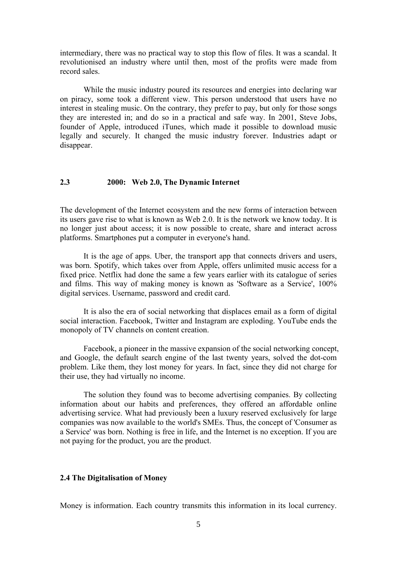intermediary, there was no practical way to stop this flow of files. It was a scandal. It revolutionised an industry where until then, most of the profits were made from record sales.

While the music industry poured its resources and energies into declaring war on piracy, some took a different view. This person understood that users have no interest in stealing music. On the contrary, they prefer to pay, but only for those songs they are interested in; and do so in a practical and safe way. In 2001, Steve Jobs, founder of Apple, introduced iTunes, which made it possible to download music legally and securely. It changed the music industry forever. Industries adapt or disappear.

#### **2.3 2000: Web 2.0, The Dynamic Internet**

The development of the Internet ecosystem and the new forms of interaction between its users gave rise to what is known as Web 2.0. It is the network we know today. It is no longer just about access; it is now possible to create, share and interact across platforms. Smartphones put a computer in everyone's hand.

It is the age of apps. Uber, the transport app that connects drivers and users, was born. Spotify, which takes over from Apple, offers unlimited music access for a fixed price. Netflix had done the same a few years earlier with its catalogue of series and films. This way of making money is known as 'Software as a Service', 100%

It is also the era of social networking that displaces email as a form of digital social interaction. Facebook, Twitter and Instagram are exploding. YouTube ends the monopoly of TV channels on content creation.

Facebook, a pioneer in the massive expansion of the social networking concept, and Google, the default search engine of the last twenty years, solved the dot-com problem. Like them, they lost money for years. In fact, since they did not charge for their use, they had virtually no income.

The solution they found was to become advertising companies. By collecting information about our habits and preferences, they offered an affordable online advertising service. What had previously been a luxury reserved exclusively for large companies was now available to the world's SMEs. Thus, the concept of 'Consumer as a Service' was born. Nothing is free in life, and the Internet is no exception. If you are not paying for the product, you are the product.

### **2.4 The Digitalisation of Money**

Money is information. Each country transmits this information in its local currency.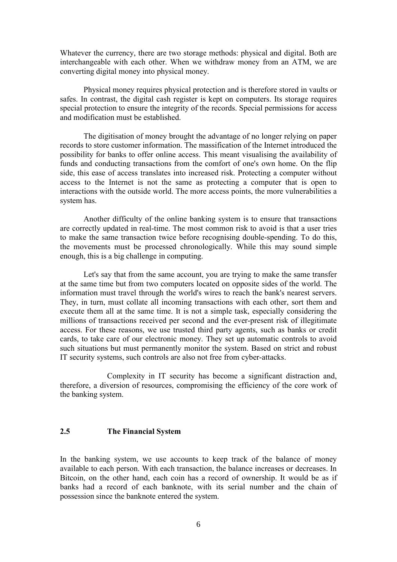Whatever the currency, there are two storage methods: physical and digital. Both are interchangeable with each other. When we withdraw money from an ATM, we are converting digital money into physical money.

Physical money requires physical protection and is therefore stored in vaults or safes. In contrast, the digital cash register is kept on computers. Its storage requires special protection to ensure the integrity of the records. Special permissions for access and modification must be established.

The digitisation of money brought the advantage of no longer relying on paper records to store customer information. The massification of the Internet introduced the possibility for banks to offer online access. This meant visualising the availability of funds and conducting transactions from the comfort of one's own home. On the flip side, this ease of access translates into increased risk. Protecting a computer without access to the Internet is not the same as protecting a computer that is open to interactions with the outside world. The more access points, the more vulnerabilities a system has.

Another difficulty of the online banking system is to ensure that transactions are correctly updated in real-time. The most common risk to avoid is that a user tries to make the same transaction twice before recognising double-spending. To do this, the movements must be processed chronologically. While this may sound simple enough, this is a big challenge in computing.<br>Let's say that from the same account, you are trying to make the same transfer

at the same time but from two computers located on opposite sides of the world. The information must travel through the world's wires to reach the bank's nearest servers. They, in turn, must collate all incoming transactions with each other, sort them and execute them all at the same time. It is not a simple task, especially considering the millions of transactions received per second and the ever-present risk of illegitimate access. For these reasons, we use trusted third party agents, such as banks or credit cards, to take care of our electronic money. They set up automatic controls to avoid such situations but must permanently monitor the system. Based on strict and robust IT security systems, such controls are also not free from cyber-attacks.

Complexity in IT security has become a significant distraction and, therefore, a diversion of resources, compromising the efficiency of the core work of the banking system.

### **2.5 The Financial System**

In the banking system, we use accounts to keep track of the balance of money available to each person. With each transaction, the balance increases or decreases. In Bitcoin, on the other hand, each coin has a record of ownership. It would be as if banks had a record of each banknote, with its serial number and the chain of possession since the banknote entered the system.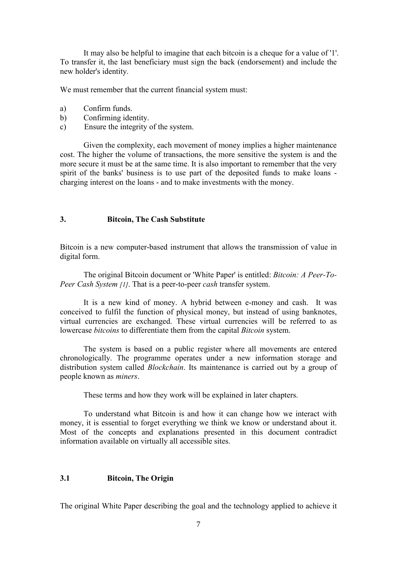It may also be helpful to imagine that each bitcoin is a cheque for a value of '1'. To transfer it, the last beneficiary must sign the back (endorsement) and include the new holder's identity.

We must remember that the current financial system must:

- a) Confirm funds.
- b) Confirming identity.
- c) Ensure the integrity of the system.

Given the complexity, each movement of money implies a higher maintenance cost. The higher the volume of transactions, the more sensitive the system is and the more secure it must be at the same time. It is also important to remember that the very spirit of the banks' business is to use part of the deposited funds to make loans charging interest on the loans - and to make investments with the money.

### **3. Bitcoin, The Cash Substitute**

Bitcoin is a new computer-based instrument that allows the transmission of value in digital form.

The original Bitcoin document or 'White Paper' is entitled: *Bitcoin: A Peer-To- Peer Cash System [1]*. That is a peer-to-peer *cash* transfer system.

It is a new kind of money.A hybrid between e-money and cash. It was conceived to fulfil the function of physical money, but instead of using banknotes, virtual currencies are exchanged. These virtual currencies will be referred to as lowercase *bitcoins* to differentiate them from the capital *Bitcoin* system.

The system is based on a public register where all movements are entered chronologically. The programme operates under a new information storage and distribution system called *Blockchain*. Its maintenance is carried out by a group of people known as *miners*.

These terms and how they work will be explained in later chapters.

To understand what Bitcoin is and how it can change how we interact with money, it is essential to forget everything we think we know or understand about it. Most of the concepts and explanations presented in this document contradict information available on virtually all accessible sites.

## **3.1 Bitcoin, The Origin**

The original White Paper describing the goal and the technology applied to achieve it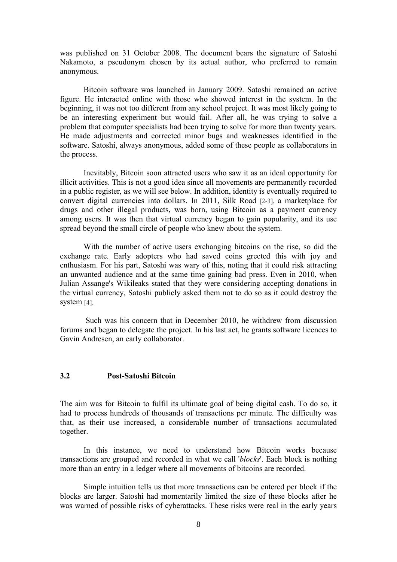was published on 31 October 2008. The document bears the signature of Satoshi Nakamoto, a pseudonym chosen by its actual author, who preferred to remain anonymous.

Bitcoin software was launched in January 2009. Satoshi remained an active figure. He interacted online with those who showed interest in the system. In the beginning, it was not too different from any school project. It was most likely going to be an interesting experiment but would fail. After all, he was trying to solve a problem that computer specialists had been trying to solve for more than twenty years. He made adjustments and corrected minor bugs and weaknesses identified in the software. Satoshi, always anonymous, added some of these people as collaborators in the process.

Inevitably, Bitcoin soon attracted users who saw it as an ideal opportunity for illicit activities. This is not a good idea since all movements are permanently recorded in a public register, as we will see below. In addition, identity is eventually required to convert digital currencies into dollars. In 2011, Silk Road [2-3], a marketplace for drugs and other illegal products, was born, using Bitcoin as a payment currency among users. It was then that virtual currency began to gain popularity, and its use spread beyond the small circle of people who knew about the system.

With the number of active users exchanging bitcoins on the rise, so did the exchange rate. Early adopters who had saved coins greeted this with joy and enthusiasm. For his part, Satoshi was wary of this, noting that it could risk attracting an unwanted audience and at the same time gaining bad press. Even in 2010, when Julian Assange's Wikileaks stated that they were considering accepting donations in the virtual currency, Satoshi publicly asked them not to do soas it could destroy the system [4].

Such was his concern that in December 2010, he withdrew from discussion forums and began to delegate the project. In his last act, he grants software licences to Gavin Andresen, an early collaborator.

### **3.2 Post-Satoshi Bitcoin**

The aim was for Bitcoin to fulfil its ultimate goal of being digital cash. To do so, it had to process hundreds of thousands of transactions per minute. The difficulty was that, as their use increased, a considerable number of transactions accumulated together.<br>In this instance, we need to understand how Bitcoin works because

transactions are grouped and recorded in what we call '*blocks*'. Each block is nothing more than an entry in a ledger where all movements of bitcoins are recorded.

Simple intuition tells us that more transactions can be entered per block if the blocks are larger. Satoshi had momentarily limited the size of these blocks after he was warned of possible risks of cyberattacks. These risks were real in the early years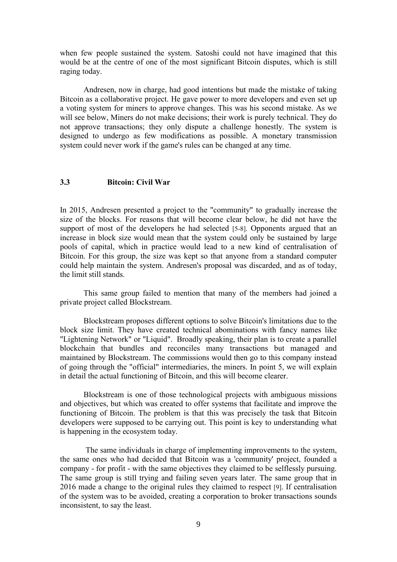when few people sustained the system. Satoshi could not have imagined that this would be at the centre of one of the most significant Bitcoin disputes, which is still raging today.

Andresen, now in charge, had good intentions but made the mistake of taking Bitcoin as a collaborative project. He gave power to more developers and even set up a voting system for miners to approve changes. This was his second mistake. As we will see below, Miners do not make decisions; their work is purely technical. They do not approve transactions; they only dispute a challenge honestly. The system is designed to undergo as few modifications as possible. A monetary transmission system could never work if the game's rules can be changed at any time.

### **3.3 Bitcoin: Civil War**

In 2015, Andresen presented a project to the "community" to gradually increase the size of the blocks. For reasons that will become clear below, he did not have the support of most of the developers he had selected [5-8]. Opponents argued that an increase in block size would mean that the system could only be sustained by large pools of capital, which in practice would lead to a new kind of centralisation of Bitcoin. For this group, the size was kept so that anyone from a standard computer could help maintain the system. Andresen's proposal was discarded, and as of today, the limit still stands.

This same group failed to mention that many of the members had joined a private project called Blockstream.

Blockstream proposes different options to solve Bitcoin's limitations due to the block size limit. They have created technical abominations with fancy names like "Lightening Network" or "Liquid". Broadly speaking, their plan is to create a parallel blockchain that bundles and reconciles many transactions but managed and maintained by Blockstream. The commissions would then go to this company instead of going through the "official" intermediaries, the miners. In point 5, we will explain in detail the actual functioning of Bitcoin, and this will become clearer.

Blockstream is one of those technological projects with ambiguous missions and objectives, but which was created to offer systems that facilitate and improve the functioning of Bitcoin. The problem is that this was precisely the task that Bitcoin developers were supposed to be carrying out. This point is key to understanding what is happening in the ecosystem today.

The same individuals in charge of implementing improvements to the system, the same ones who had decided that Bitcoin was a 'community' project, founded a company - for profit - with the same objectives they claimed to be selflessly pursuing. The same group is still trying and failing seven years later. The same group that in 2016 made a change to the original rules they claimed to respect[9]. If centralisation of the system was to be avoided, creating a corporation to broker transactions sounds inconsistent, to say the least.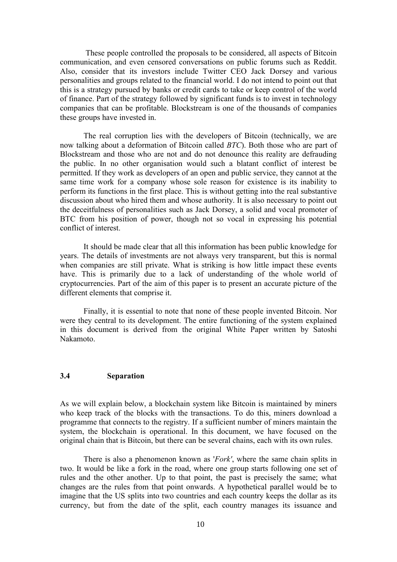These people controlled the proposals to be considered, all aspects of Bitcoin communication, and even censored conversations on public forums such as Reddit. Also, consider that its investors include Twitter CEO Jack Dorsey and various personalities and groups related to the financial world. I do not intend to point out that this is a strategy pursued by banks or credit cards to take or keep control of the world of finance. Part of the strategy followed by significant funds is to invest in technology companies that can be profitable. Blockstream is one of the thousands of companies these groups have invested in.

The real corruption lies with the developers of Bitcoin (technically, we are now talking about a deformation of Bitcoin called *BTC*). Both those who are part of Blockstream and those who are not and do not denounce this reality are defrauding the public. In no other organisation would such a blatant conflict of interest be permitted. If they work as developers of an open and public service, they cannot at the same time work for a company whose sole reason for existence is its inability to perform its functions in the first place. This is without getting into the real substantive discussion about who hired them and whose authority. It is also necessary to point out the deceitfulness of personalities such as Jack Dorsey, a solid and vocal promoter of BTC from his position of power, though not so vocal in expressing his potential conflict of interest.

It should be made clear that all this information has been public knowledge for years. The details of investments are not always very transparent, but this is normal when companies are still private. What is striking is how little impact these events have. This is primarily due to a lack of understanding of the whole world of cryptocurrencies. Part of the aim of this paper is to present an accurate picture of the different elements that comprise it.

Finally, it is essential to note that none of these people invented Bitcoin. Nor were they central to its development. The entire functioning of the system explained in this document is derived from the original White Paper written by Satoshi Nakamoto.

### **3.4 Separation**

As we will explain below, a blockchain system like Bitcoin is maintained by miners who keep track of the blocks with the transactions. To do this, miners download a programme that connects to the registry. If a sufficient number of miners maintain the system, the blockchain is operational. In this document, we have focused on the original chain that is Bitcoin, but there can be several chains, each with its own rules.

There is also a phenomenon known as '*Fork'*, where the same chain splits in two. It would be like a fork in the road, where one group starts following one set of rules and the other another. Up to that point, the past is precisely the same; what changes are the rules from that point onwards. A hypothetical parallel would be to imagine that the US splits into two countries and each country keeps the dollar as its currency, but from the date of the split, each country manages its issuance and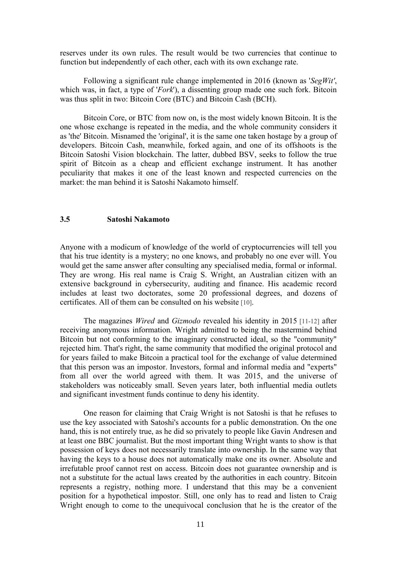reserves under its own rules. The result would be two currencies that continue to function but independently of each other, each with its own exchange rate.

Following a significant rule change implemented in 2016 (known as '*SegWit'*, which was, in fact, a type of '*Fork*'), a dissenting group made one such fork. Bitcoin was thus split in two: Bitcoin Core (BTC) and Bitcoin Cash (BCH).

Bitcoin Core, or BTC from now on, is the most widely known Bitcoin. It is the one whose exchange is repeated in the media, and the whole community considers it as 'the' Bitcoin. Misnamed the 'original', it is the same one taken hostage by a group of developers. Bitcoin Cash, meanwhile, forked again, and one of its offshoots is the Bitcoin Satoshi Vision blockchain. The latter, dubbed BSV, seeks to follow the true spirit of Bitcoin as a cheap and efficient exchange instrument. It has another peculiarity that makes it one of the least known and respected currencies on the market: the man behind it is Satoshi Nakamoto himself.

#### **3.5 Satoshi Nakamoto**

Anyone with a modicum of knowledge of the world of cryptocurrencies will tell you that his true identity is a mystery; no one knows, and probably no one ever will. You would get the same answer after consulting any specialised media, formal or informal. They are wrong. His real name is Craig S. Wright, an Australian citizen with an extensive background in cybersecurity, auditing and finance. His academic record includes at least two doctorates, some 20 professional degrees, and dozens of certificates. All of them can be consulted on his website [10].

The magazines *Wired* and *Gizmodo* revealed his identity in 2015 [11-12] after receiving anonymous information. Wright admitted to being the mastermind behind Bitcoin but not conforming to the imaginary constructed ideal, so the "community" rejected him. That's right, the same community that modified the original protocol and for years failed to make Bitcoin a practical tool for the exchange of value determined that this person was an impostor. Investors, formal and informal media and "experts" from all over the world agreed with them. It was 2015, and the universe of stakeholders was noticeably small. Seven years later, both influential media outlets and significant investment funds continue to deny his identity.

One reason for claiming that Craig Wright is not Satoshi is that he refuses to use the key associated with Satoshi's accounts for a public demonstration. On the one hand, this is not entirely true, as he did so privately to people like Gavin Andresen and at least one BBC journalist. But the most important thing Wright wants to show is that possession of keys does not necessarily translate into ownership. In the same way that having the keys to a house does not automatically make one its owner. Absolute and irrefutable proof cannot rest on access. Bitcoin does not guarantee ownership and is not a substitute for the actual laws created by the authorities in each country. Bitcoin represents a registry, nothing more. I understand that this may be a convenient position for a hypothetical impostor. Still, one only has to read and listen to Craig Wright enough to come to the unequivocal conclusion that he is the creator of the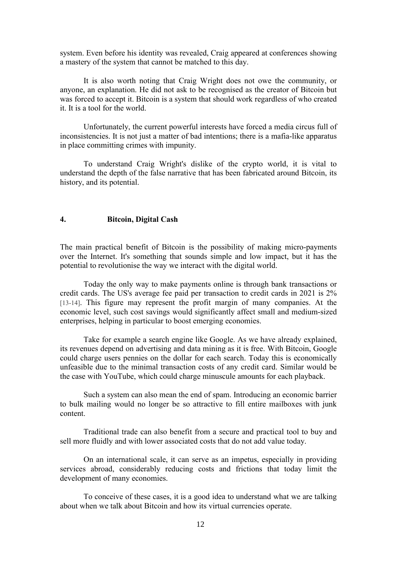system. Even before his identity was revealed, Craig appeared at conferences showing a mastery of the system that cannot be matched to this day.

It is also worth noting that Craig Wright does not owe the community, or anyone, an explanation. He did notask to be recognised as the creator of Bitcoin but was forced to accept it. Bitcoin is a system that should work regardless of who created it. It is a tool for the world.

Unfortunately, the current powerful interests have forced a media circus full of inconsistencies. It is not just a matter of bad intentions; there is a mafia-like apparatus in place committing crimes with impunity.

To understand Craig Wright's dislike of the crypto world, it is vital to understand the depth of the false narrative that has been fabricated around Bitcoin, its history, and its potential.

#### **4. Bitcoin, Digital Cash**

The main practical benefit of Bitcoin is the possibility of making micro-payments over the Internet. It's something that sounds simple and low impact, but it has the potential to revolutionise the way we interact with the digital world.

Today the only way to make payments online is through bank transactions or credit cards. The US's average fee paid per transaction to credit cards in 2021 is 2% [13-14]. This figure may represent the profit margin of many companies. At the economic level, such cost savings would significantly affect small and medium-sized enterprises, helping in particular to boost emerging economies.<br>Take for example a search engine like Google. As we have already explained,

its revenues depend on advertising and data mining as it is free. With Bitcoin, Google could charge users pennies on the dollar for each search. Today this is economically unfeasible due to the minimal transaction costs of any credit card. Similar would be the case with YouTube, which could charge minuscule amounts for each playback.

Such a system can also mean the end of spam. Introducing an economic barrier to bulk mailing would no longer be so attractive to fill entire mailboxes with junk content.<br>Traditional trade can also benefit from a secure and practical tool to buy and

sell more fluidly and with lower associated costs that do not add value today.

On an international scale, it can serve as an impetus, especially in providing services abroad, considerably reducing costs and frictions that today limit the development of many economies.<br>To conceive of these cases, it is a good idea to understand what we are talking

about when we talk about Bitcoin and how its virtual currencies operate.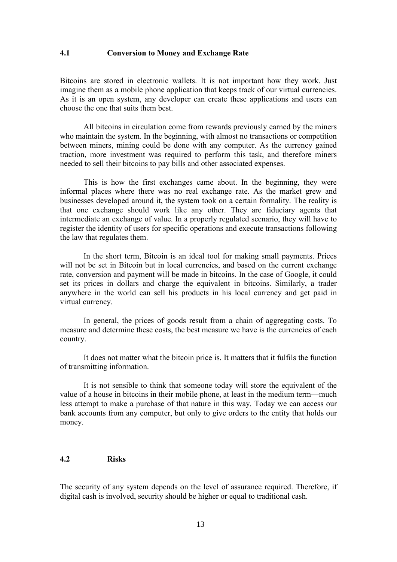#### **4.1 Conversion toMoney and Exchange Rate**

Bitcoins are stored in electronic wallets. It is not important how they work. Just imagine them as a mobile phone application that keeps track of our virtual currencies. As it is an open system, any developer can create these applications and users can choose the one that suits them best.

All bitcoins in circulation come from rewards previously earned by the miners who maintain the system. In the beginning, with almost no transactions or competition between miners, mining could be done with any computer. As the currency gained traction, more investment was required to perform this task, and therefore miners needed to sell their bitcoins to pay bills and other associated expenses.

This is how the first exchanges came about. In the beginning, they were informal places where there was no real exchange rate. As the market grew and businesses developed around it, the system took on a certain formality. The reality is that one exchange should work like any other. They are fiduciary agents that intermediate an exchange of value. In a properly regulated scenario, they will have to register the identity of users for specific operations and execute transactions following the law that regulates them.

In the short term, Bitcoin is an ideal tool for making small payments. Prices will not be set in Bitcoin but in local currencies, and based on the current exchange rate, conversion and payment will be made in bitcoins. In the case of Google, it could set its prices in dollars and charge the equivalent in bitcoins. Similarly, a trader anywhere in the world can sell his products in his local currency and get paid in virtual currency.

In general, the prices of goods result from a chain of aggregating costs. To measure and determine these costs, the best measure we have is the currencies ofeach country.<br>It does not matter what the bitcoin price is. It matters that it fulfils the function

of transmitting information.

It is not sensible to think that someone today will store the equivalent of the value of a house in bitcoins in their mobile phone, at least in the medium term—much less attempt to make a purchase of that nature in this way. Today we can access our bank accounts from any computer, but only to give orders to the entity that holds our money.

### **4.2 Risks**

The security of any system depends on the level of assurance required. Therefore, if digital cash is involved, security should be higher or equal to traditional cash.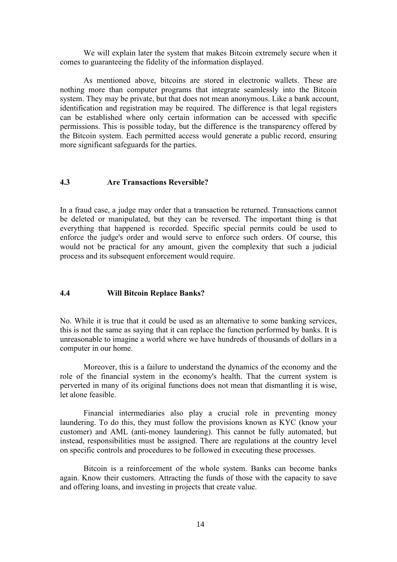We will explain later the system that makes Bitcoin extremely secure when it comes to guaranteeing the fidelity of the information displayed.

As mentioned above, bitcoins are stored in electronic wallets.These are nothing more than computer programs that integrate seamlessly into the Bitcoin system. They may be private, but that does not mean anonymous. Like a bank account, identification and registration may be required. The difference is that legal registers can be established where only certain information can be accessed with specific permissions. This is possible today, but the difference is the transparency offered by the Bitcoin system. Each permitted access would generate a public record, ensuring more significant safeguards for the parties.

### **4.3 Are Transactions Reversible?**

In a fraud case, a judge may order that a transaction be returned. Transactions cannot be deleted or manipulated, but they can be reversed. The important thing is that everything that happened is recorded. Specific special permits could be used to enforce the judge's order and would serve to enforce such orders. Of course, this would not be practical for any amount, given the complexity that such a judicial process and its subsequent enforcement would require.

#### **4.4 Will Bitcoin Replace Banks?**

No. While it is true that it could be used as an alternative to some banking services, this is not the same as saying that it can replace the function performed by banks. It is unreasonable to imagine a world where we have hundreds of thousands of dollars in a computer in our home.

Moreover, this is a failure to understand the dynamics of the economy and the role of the financial system in the economy's health. That the current system is perverted in many of its original functions does not mean that dismantling it is wise, let alone feasible.

Financial intermediaries also play a crucial role in preventing money laundering. To do this, they must follow the provisions known as KYC (know your customer) and AML (anti-money laundering). This cannot be fully automated, but instead, responsibilities must be assigned. There are regulations at the country level on specific controls and procedures to be followed in executing these processes.

Bitcoin is a reinforcement of the whole system. Banks can become banks again. Know their customers. Attracting the funds of those with the capacity to save and offering loans, and investing in projects that create value.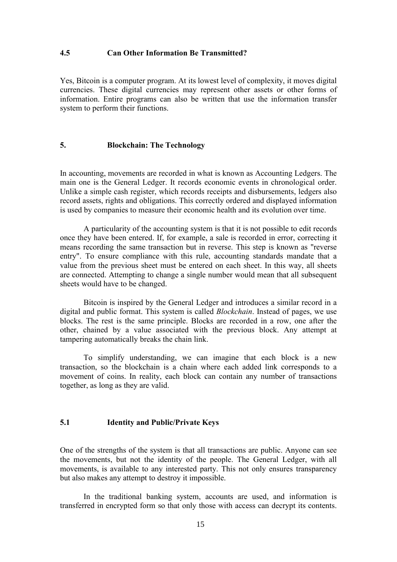#### **4.5 Can Other Information Be Transmitted?**

Yes, Bitcoin is a computer program. At its lowest level of complexity, it moves digital currencies. These digital currencies may represent other assets or other forms of information. Entire programs can also be written that use the information transfer system to perform their functions.

# **5. Blockchain: The Technology**

In accounting, movements are recorded in what is known as Accounting Ledgers. The main one is the General Ledger. It records economic events in chronological order. Unlike a simple cash register, which records receipts and disbursements, ledgers also record assets, rights and obligations. This correctly ordered and displayed information is used by companies to measure their economic health and its evolution over time.

A particularity of the accounting system is that it is not possible to edit records once they have been entered. If, for example, a sale is recorded in error, correcting it means recording the same transaction but in reverse. This step is known as "reverse entry". To ensure compliance with this rule, accounting standards mandate that a value from the previous sheet must be entered on each sheet. In this way, all sheets are connected. Attempting to change a single number would mean that all subsequent sheets would have to be changed.

Bitcoin is inspired by the General Ledger and introduces a similar record in a digital and public format. This system is called *Blockchain*. Instead of pages, we use blocks. The rest is the same principle. Blocks are recorded in a row, one after the other, chained by a value associated with the previous block. Any attempt at tampering automatically breaks the chain link.

To simplify understanding, we can imagine that each block is a new transaction, so the blockchain is a chain where each added link corresponds to a movement of coins. In reality, each block can contain any number of transactions together, as long as they are valid.

# **5.1 Identity and Public/Private Keys**

One of the strengths of the system is that all transactions are public. Anyone can see the movements, but not the identity of the people. The General Ledger, with all movements, is available to any interested party. This not only ensures transparency but also makes any attempt to destroy it impossible.

In the traditional banking system, accounts are used, and information is transferred in encrypted form so that only those with access can decrypt its contents.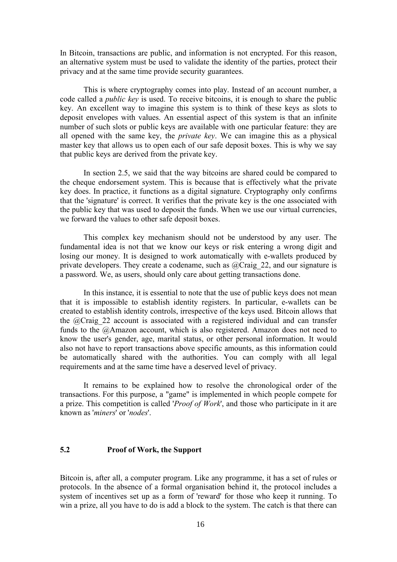In Bitcoin, transactions are public, and information is not encrypted. For this reason, an alternative system must be used to validate the identity of the parties, protect their privacy and at the same time provide security guarantees.

This is where cryptography comes into play. Instead of an account number, a code called a *public key* is used. To receive bitcoins, it is enough to share the public key. An excellent way to imagine this system is to think of these keys as slots to deposit envelopes with values. An essential aspect of this system is that an infinite number of such slots or public keys are available with one particular feature: they are all opened with the same key, the *private key*. We can imagine this as a physical master key that allows us to open each of our safe deposit boxes. This is why we say that public keys are derived from the private key.

In section 2.5, we said that the way bitcoins are shared could be compared to the cheque endorsement system. This is because that is effectively what the private key does. In practice, it functions as a digital signature. Cryptography only confirms that the 'signature' is correct. It verifies that the private key is the one associated with the public key that was used to deposit the funds. When we use our virtual currencies, we forward the values to other safe deposit boxes.

This complex key mechanism should not be understood by any user. The fundamental idea is not that we know our keys or risk entering a wrong digit and losing our money. It is designed to work automatically with e-wallets produced by private developers. They create a codename, such as  $@Craig22$ , and our signature is a password. We, as users, should only care about getting transactions done.

In this instance, it is essential to note that the use of public keys does not mean that it is impossible to establish identity registers. In particular, e-wallets can be created to establish identity controls, irrespective of the keys used. Bitcoin allows that the @Craig\_22 account is associated with a registered individual and can transfer funds to the @Amazon account, which is also registered. Amazon does not need to know the user's gender, age, marital status, or other personal information. It would also not have to report transactions above specific amounts, as this information could be automatically shared with the authorities. You can comply with all legal requirements and at the same time have a deserved level of privacy.

It remains to be explained how to resolve the chronological order of the transactions. For this purpose, a "game" is implemented in which people compete for a prize. This competition is called '*Proof of Work*', and those who participate in it are known as '*miners*' or '*nodes*'.

### **5.2 Proof of Work, the Support**

Bitcoin is, after all, a computer program. Like any programme, it has a set of rules or protocols. In the absence of a formal organisation behind it, the protocol includes a system of incentives set up as a form of 'reward' for those who keep it running. To win a prize, all you have to do is add a block to the system.The catch is that there can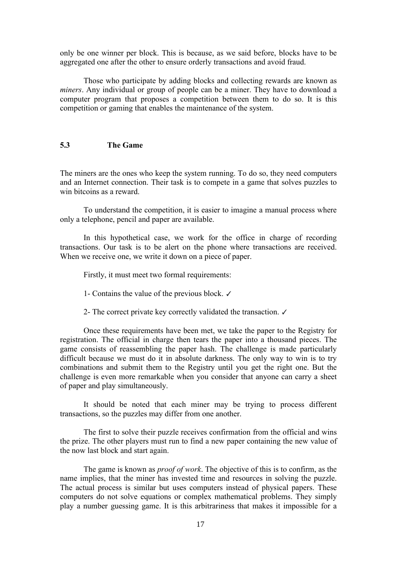only be one winner per block. This is because, as we said before, blocks have to be aggregated one after the other to ensure orderly transactions and avoid fraud.

Those who participate by adding blocks and collecting rewards are known as *miners*. Any individual or group of people can be a miner. They have to download a computer program that proposes a competition between them to do so. It is this competition or gaming that enables the maintenance of the system.

# **5.3 The Game**

The miners are the ones who keep the system running. To do so, they need computers and an Internet connection. Their task is to compete in a game that solves puzzles to win bitcoins as a reward.

To understand the competition, it is easier to imagine a manual process where only a telephone, pencil and paper are available.

In this hypothetical case, we work for the office in charge of recording transactions. Our task is to be alert on the phone where transactions are received. When we receive one, we write it down on a piece of paper.

Firstly, it must meet two formal requirements:

1- Contains the value of the previous block. ✓

2- The correct private key correctly validated the transaction. ✓

Once these requirements have been met, we take the paper to the Registry for registration. The official in charge then tears the paper into a thousand pieces. The game consists of reassembling the paper hash. The challenge is made particularly difficult because we must do it in absolute darkness. The only way to win is to try combinations and submit them to the Registry until you get the right one. But the challenge is even more remarkable when you consider that anyone can carry a sheet of paper and play simultaneously.

It should be noted that each miner may be trying to process different transactions, so the puzzles may differ from one another.

The first to solve their puzzle receives confirmation from the official and wins the prize. The other players must run to find a new paper containing the new value of the now last block and start again.

The game is known as *proof of work*. The objective of this is to confirm, as the name implies, that the miner has invested time and resources in solving the puzzle.<br>The actual process is similar but uses computers instead of physical papers. These computers do not solve equations or complex mathematical problems. They simply play a number guessing game. It is this arbitrariness that makes it impossible for a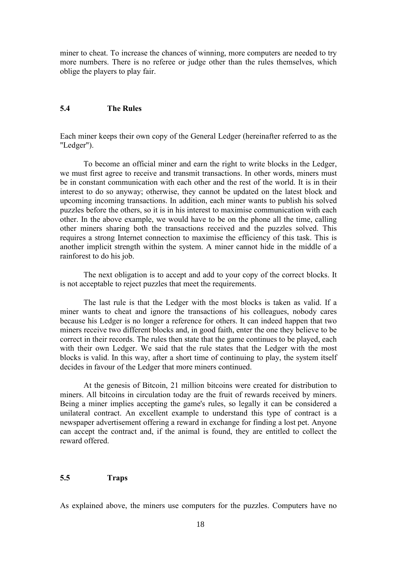miner to cheat. To increase the chances of winning, more computers are needed to try more numbers. There is no referee or judge other than the rules themselves, which oblige the players to play fair.

# **5.4 The Rules**

Each miner keeps their own copy of the General Ledger (hereinafter referred to as the "Ledger").

To become an official miner and earn the right to write blocks in the Ledger, we must first agree to receive and transmit transactions. In other words, miners must be in constant communication with each other and the rest of the world. It is in their interest to do so anyway; otherwise, they cannot be updated on the latest block and upcoming incoming transactions. In addition, each miner wants to publish his solved puzzles before the others, so it is in his interest to maximise communication with each other. In the above example, we would have to be on the phone all the time, calling other miners sharing both the transactions received and the puzzles solved. This requires a strong Internet connection to maximise the efficiency of this task. This is another implicit strength within the system. A miner cannot hide in the middle of a rainforest to do his job.

The next obligation is to accept and add to your copy of the correct blocks. It is not acceptable to reject puzzles that meet the requirements.

The last rule is that the Ledger with the most blocks is taken as valid. If a miner wants to cheat and ignore the transactions of his colleagues, nobody cares because his Ledger is no longer a reference for others. It can indeed happen that two miners receive two different blocks and, in good faith, enter the one they believe to be correct in their records. The rules then state that the game continues to be played, each with their own Ledger. We said that the rule states that the Ledger with the most blocks is valid. In this way, after a short time of continuing to play, the system itself decides in favour of the Ledger that more miners continued.

At the genesis of Bitcoin, 21 million bitcoins were created for distribution to miners. All bitcoins in circulation today are the fruit of rewards received by miners. Being a miner implies accepting the game's rules, so legally it can be considered a unilateral contract. An excellent example to understand this type of contract is a newspaper advertisement offering a reward in exchange for finding a lost pet. Anyone can accept the contract and, if the animal is found, they are entitled to collect the reward offered.

### **5.5 Traps**

As explained above, the miners use computers for the puzzles. Computers have no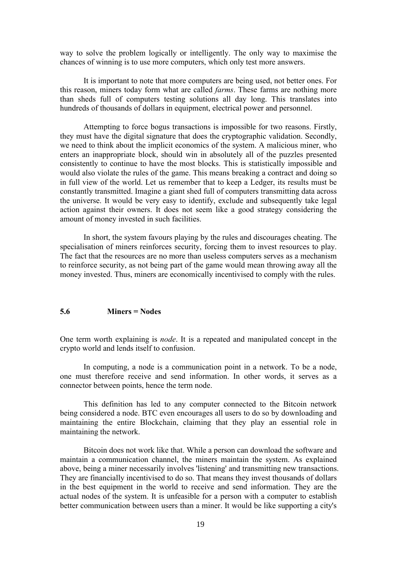way to solve the problem logically or intelligently. The only way to maximise the chances of winning is to use more computers, which only test more answers.

It is important to note that more computers are being used, not better ones. For this reason, miners today form what are called *farms*. These farms are nothing more than sheds full of computers testing solutions all day long. This translates into hundreds of thousands of dollars in equipment, electrical power and personnel.

Attempting to force bogus transactions is impossible for two reasons. Firstly, they must have the digital signature that does the cryptographic validation. Secondly, we need to think about the implicit economics of the system. A malicious miner, who enters an inappropriate block, should win in absolutely all of the puzzles presented consistently to continue to have the most blocks. This is statistically impossible and would also violate the rules of the game. This means breaking a contract and doing so in full view of the world. Let us remember that to keep a Ledger, its results must be constantly transmitted. Imagine a giant shed full of computers transmitting data across the universe. It would be very easy to identify, exclude and subsequently take legal action against their owners. It does not seem like a good strategy considering the amount of money invested in such facilities.

In short, the system favours playing by the rules and discourages cheating. The specialisation of miners reinforces security, forcing them to invest resources to play. The fact that the resources are no more than useless computers serves as a mechanism to reinforce security, as not being part of the game would mean throwing away all the money invested. Thus, miners are economically incentivised to comply with the rules.

### **5.6 Miners = Nodes**

One term worth explaining is *node*. It is a repeated and manipulated concept in the crypto world and lends itself to confusion.

In computing, a node is a communication point in a network. To be a node, one must therefore receive and send information. In other words, it serves as a connector between points, hence the term node.

This definition has led to any computer connected to the Bitcoin network being considered a node. BTC even encourages all users to do so by downloading and maintaining the entire Blockchain, claiming that they play an essential role in maintaining the network.

Bitcoin does not work like that. While a person can download the software and maintain a communication channel, the miners maintain the system. As explained above, being a miner necessarily involves 'listening' and transmitting new transactions. They are financially incentivised to do so. That means they invest thousands of dollars in the best equipment in the world to receive and send information. They are the actual nodes of the system. It is unfeasible for a person with a computer to establish better communication between users than a miner. It would be like supporting a city's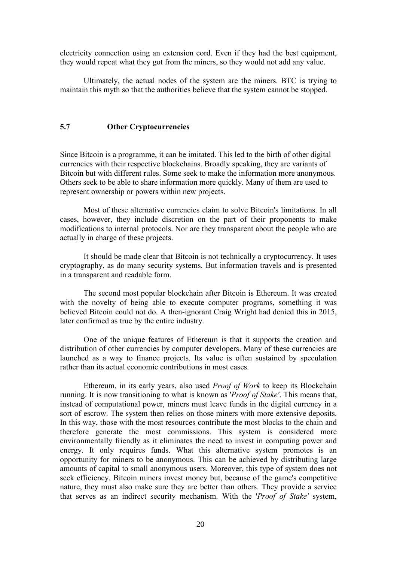electricity connection using an extension cord. Even if they had the best equipment, they would repeat what they got from the miners, so they would not add any value.

Ultimately, the actual nodes of the system are the miners. BTC is trying to maintain this myth so that the authorities believe that the system cannot be stopped.

#### **5.7 Other Cryptocurrencies**

Since Bitcoin is a programme, it can be imitated. This led to the birth of other digital currencies with their respective blockchains. Broadly speaking, they are variants of Bitcoin but with different rules. Some seek to make the information more anonymous. Others seek to be able to share information more quickly. Many of them are used to represent ownership or powers within new projects.

Most of these alternative currencies claim to solve Bitcoin's limitations. In all cases, however, they include discretion on the part of their proponents to make modifications to internal protocols. Nor are they transparent about the people who are

It should be made clear that Bitcoin is not technically a cryptocurrency. It uses cryptography, as do many security systems. But information travels and is presented in a transparent and readable form.

The second most popular blockchain after Bitcoin is Ethereum. It was created with the novelty of being able to execute computer programs, something it was believed Bitcoin could not do. A then-ignorant Craig Wright had denied this in 2015, later confirmed as true by the entire industry.

One of the unique features of Ethereum is that it supports the creation and distribution of other currencies by computer developers. Many of these currencies are launched as a way to finance projects. Its value is often sustained by speculation rather than its actual economic contributions in most cases.

Ethereum, in its early years, also used *Proof of Work* to keep its Blockchain running. It is now transitioning to what is known as '*Proof of Stake'*. This means that, instead of computational power, miners must leave funds in the digital currency in a sort of escrow. The system then relies on those miners with more extensive deposits. In this way, those with the most resources contribute the most blocks to the chain and therefore generate the most commissions. This system is considered more environmentally friendly as it eliminates the need to invest in computing power and energy. It only requires funds. What this alternative system promotes is an opportunity for miners to be anonymous. This can be achieved by distributing large amounts of capital to small anonymous users.Moreover, this type of system does not seek efficiency. Bitcoin miners invest money but, because of the game's competitive nature, they must also make sure they are better than others. They provide a service that serves as an indirect security mechanism. With the '*Proof of Stake'* system,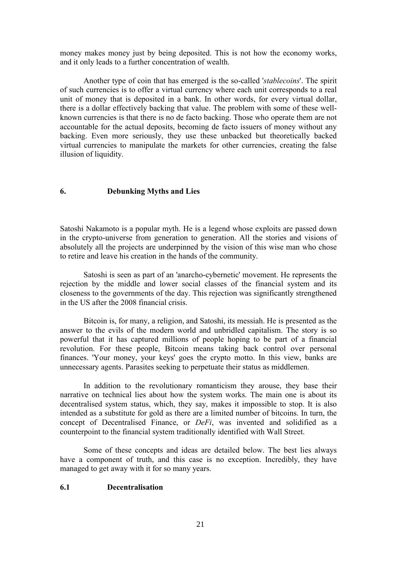money makes money just by being deposited. This is not how the economy works, and it only leads to a further concentration of wealth.

Another type of coin that has emerged is the so-called '*stablecoins*'. The spirit of such currencies is to offer a virtual currency where each unit corresponds to a real unit of money that is deposited in a bank. In other words, for every virtual dollar, there is a dollar effectively backing that value. The problem with some of these well known currencies is that there is no de facto backing. Those who operate them are not accountable for the actual deposits, becoming de facto issuers of money without any backing. Even more seriously, they use these unbacked but theoretically backed virtual currencies to manipulate the markets for other currencies, creating the false illusion of liquidity.

#### **6. Debunking Myths and Lies**

Satoshi Nakamoto is a popular myth. He is a legend whose exploits are passed down in the crypto-universe from generation to generation. All the stories and visions of absolutely all the projects are underpinned by the vision of this wise man who chose to retire and leave his creation in the hands of the community.

Satoshi is seen as part of an 'anarcho-cybernetic' movement. He represents the rejection by the middle and lower social classes of the financial system and its closeness to the governments of the day. This rejection was significantly strengthened in the US after the 2008 financial crisis.

Bitcoin is, for many, a religion, and Satoshi, its messiah. He is presented as the answer to the evils of the modern world and unbridled capitalism.The story is so powerful that it has captured millions of people hoping to be part of a financial revolution. For these people, Bitcoin means taking back control over personal finances. 'Your money, your keys' goes the crypto motto. In this view, banks are unnecessary agents. Parasites seeking to perpetuate their status as middlemen.

In addition to the revolutionary romanticism they arouse, they base their narrative on technical lies about how the system works. The main one is about its decentralised system status, which, they say, makes it impossible to stop. It is also intended as a substitute for gold as there are a limited number of bitcoins. In turn, the concept of Decentralised Finance, or *DeFi*, was invented and solidified as a counterpoint to the financial system traditionally identified with Wall Street.

Some of these concepts and ideas are detailed below. The best lies always have a component of truth, and this case is no exception. Incredibly, they have managed to get away with it for so many years.

### **6.1 Decentralisation**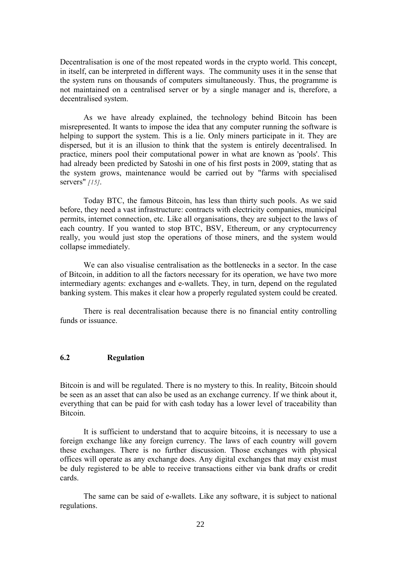Decentralisation is one of the most repeated words in the crypto world. This concept, in itself, can be interpreted in different ways. The community uses it in the sense that the system runs on thousands of computers simultaneously. Thus, the programme is not maintained on a centralised server or by a single manager and is, therefore, a decentralised system.

As we have already explained, the technology behind Bitcoin has been misrepresented. It wants to impose the idea that any computer running the software is helping to support the system. This is a lie. Only miners participate in it. They are dispersed, but it is an illusion to think that the system is entirely decentralised. In practice, miners pool their computational power in what are known as 'pools'. This had already been predicted by Satoshi in one of his first posts in 2009, stating that as the system grows, maintenance would be carried out by "farms with specialised servers" *[15]*.

Today BTC, the famous Bitcoin, has less than thirty such pools. As we said before, they need a vast infrastructure: contracts with electricity companies, municipal permits, internet connection, etc. Like all organisations, they are subject to the laws of each country. If you wanted to stop BTC, BSV, Ethereum, or any cryptocurrency really, you would just stop the operations of those miners, and the system would collapse immediately.

We can also visualise centralisation as the bottlenecks in a sector. In the case of Bitcoin, in addition to all the factors necessary for its operation, we have two more intermediary agents: exchanges and e-wallets. They, in turn, depend on the regulated banking system. This makes it clear how a properly regulated system could be created.

There is real decentralisation because there is no financial entity controlling funds or issuance.

# **6.2 Regulation**

Bitcoin is and will be regulated. There is no mystery to this. In reality, Bitcoin should be seen as an asset that can also be used as an exchange currency. If we think about it, everything that can be paid for with cash today has a lower level of traceability than Bitcoin.<br>It is sufficient to understand that to acquire bitcoins, it is necessary to use a

foreign exchange like any foreign currency. The laws of each country will govern these exchanges. There is no further discussion. Those exchanges with physical offices will operate as any exchange does. Any digital exchanges that may exist must be duly registered to be able to receive transactions either via bank drafts or credit cards.

The same can be said of e-wallets. Like any software, it is subject to national regulations.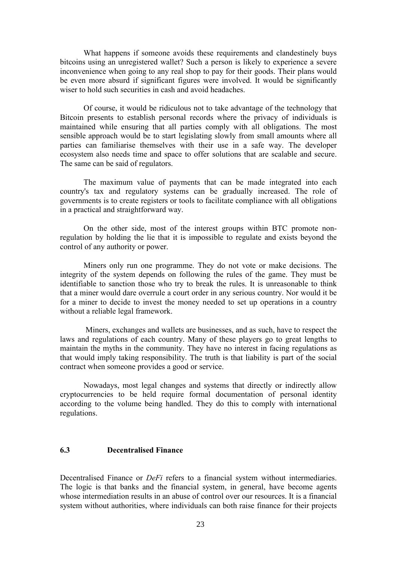What happens if someone avoids these requirements and clandestinely buys bitcoins using an unregistered wallet? Such a person is likely to experience a severe inconvenience when going to any real shop to pay for their goods. Their plans would be even more absurd if significant figures were involved. It would be significantly wiser to hold such securities in cash and avoid headaches.

Of course, it would be ridiculous not to take advantage of the technology that Bitcoin presents to establish personal records where the privacy of individuals is maintained while ensuring that all parties comply with all obligations. The most sensible approach would be to start legislating slowly from small amounts where all parties can familiarise themselves with their use in a safe way. The developer ecosystem also needs time and space to offer solutions that are scalable and secure. The same can be said of regulators.

The maximum value of payments that can be made integrated into each country's tax and regulatory systems can be gradually increased. The role of governments is to create registers ortools to facilitate compliance with all obligations in a practical and straightforward way.

On the other side, most of the interest groups within BTC promote nonregulation by holding the lie that it is impossible to regulate and exists beyond the control of any authority or power.

Miners only run one programme. They do not vote or make decisions. The integrity of the system depends on following the rules of the game. They must be identifiable to sanction those who try to break the rules. It is unreasonable to think that a miner would dare overrule a court order in any serious country. Nor would it be for a miner to decide to invest the money needed to set up operations in a country without a reliable legal framework.

Miners, exchanges and wallets are businesses, and as such, have to respect the laws and regulations of each country. Many of these players go to great lengths to maintain the myths in the community. They have no interest in facing regulations as that would imply taking responsibility. The truth is that liability is part of the social contract when someone provides a good or service.

Nowadays, most legal changes and systems that directly or indirectly allow cryptocurrencies to be held require formal documentation of personal identity according to the volume being handled. They do this to comply with international regulations.

# **6.3 Decentralised Finance**

Decentralised Finance or *DeFi* refers to a financial system without intermediaries. The logic is that banks and the financial system, in general, have become agents whose intermediation results in an abuse of control over our resources. It is a financial system without authorities, where individuals can both raise finance for their projects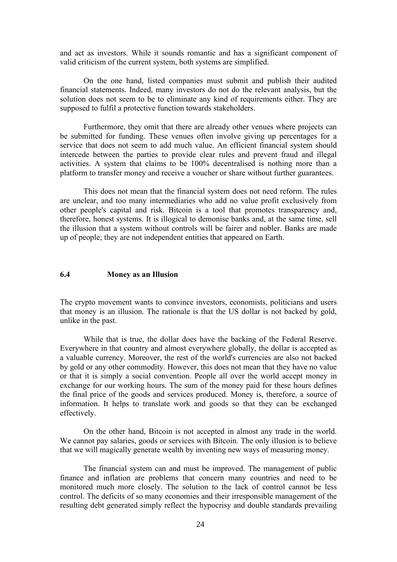and act as investors. While it sounds romantic and has a significant component of valid criticism of the current system, both systems are simplified.

On the one hand, listed companies must submit and publish their audited financial statements. Indeed, many investors do not do the relevant analysis, but the solution does not seem to be to eliminate any kind of requirements either. They are supposed to fulfil a protective function towards stakeholders.

Furthermore, they omit that there are already other venues where projects can be submitted for funding. These venues often involve giving up percentages for a service that does not seem to add much value. An efficient financial system should intercede between the parties to provide clear rules and prevent fraud and illegal activities. A system that claims to be 100% decentralised is nothing more than a platform to transfer money and receive a voucher or share without further guarantees.

This does not mean that the financial system does not need reform. The rules are unclear, and too many intermediaries who add no value profit exclusively from other people's capital and risk. Bitcoin is a tool that promotes transparency and, therefore, honest systems. It is illogical to demonise banks and, at the same time, sell the illusion that a system without controls will be fairer and nobler. Banks are made up of people; they are not independent entities that appeared on Earth.

### **6.4 Money as an Illusion**

The crypto movement wants to convince investors, economists, politicians and users that money is an illusion. The rationale is that the US dollar is not backed by gold, unlike in the past.

While that is true, the dollar does have the backing of the Federal Reserve. Everywhere in that country and almost everywhere globally, the dollar is accepted as a valuable currency. Moreover, the rest of the world's currencies are also not backed by gold or any other commodity. However, this does not mean that they have no value or that it is simply a social convention. People all over the world accept money in exchange for our working hours. The sum of the money paid for these hours defines the final price of the goods and services produced. Money is, therefore, a source of information. It helps to translate work and goods so that they can be exchanged effectively.

On the other hand, Bitcoin is not accepted in almost any trade in the world. We cannot pay salaries, goods or services with Bitcoin. The only illusion is to believe that we will magically generate wealth by inventing new ways of measuring money.

The financial system can and must be improved. The management of public finance and inflation are problems that concern many countries and need to be monitored much more closely. The solution to the lack of control cannot be less control. The deficits of so many economies and their irresponsible management of the resulting debt generated simply reflect the hypocrisy and double standards prevailing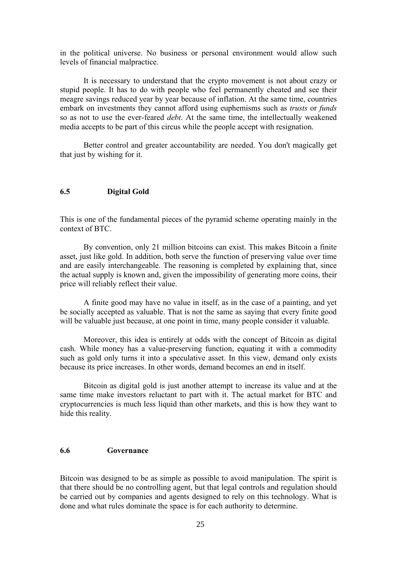in the political universe. No business or personal environment would allow such levels of financial malpractice.

It is necessary to understand that the crypto movement is not about crazy or stupid people. It has to do with people who feel permanently cheated and see their meagre savings reduced year by year because of inflation. At the same time, countries embark on investments they cannot afford using euphemisms such as *trusts* or *funds* so as not to use the ever-feared *debt*. At the same time, the intellectually weakened media accepts to be part of this circus while the people accept with resignation.

Better control and greater accountability are needed. You don't magically get that just by wishing for it.

### **6.5 Digital Gold**

This is one of the fundamental pieces of the pyramid scheme operating mainly in the context of BTC.

By convention, only 21 million bitcoins can exist. This makes Bitcoin a finite asset, just like gold. In addition, both serve the function of preserving value over time and are easily interchangeable. The reasoning is completed by explaining that, since the actual supply is known and, given the impossibility of generating more coins, their price will reliably reflect their value.

A finite good may have no value in itself, as in the case of a painting, and yet be socially accepted as valuable. That is not the same as saying that every finite good will be valuable just because, at one point in time, many people consider it valuable.

Moreover, this idea is entirely at odds with the concept of Bitcoin as digital cash. While money has a value-preserving function, equating it with a commodity such as gold only turns it into a speculative asset. In this view, demand only exists because its price increases. In other words, demand becomes an end in itself.

Bitcoin as digital gold is just another attempt to increase its value and at the same time make investors reluctant to part with it. The actual market for BTC and cryptocurrencies is much less liquid than other markets, and this is how they want to hide this reality.

# **6.6 Governance**

Bitcoin was designed to be as simple as possible to avoid manipulation. The spirit is that there should be no controlling agent, but that legal controls and regulation should be carried out by companies and agents designed to rely on this technology. What is done and what rules dominate the space is for each authority to determine.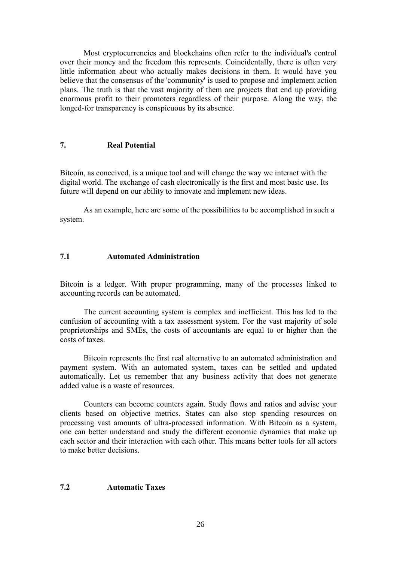Most cryptocurrencies and blockchains often refer to the individual's control over their money and the freedom this represents. Coincidentally, there is often very little information about who actually makes decisions in them. It would have you believe that the consensus of the 'community' is used to propose and implement action plans. The truth is that the vast majority of them are projects that end up providing enormous profit to their promoters regardless of their purpose. Along the way, the longed-for transparency is conspicuous by its absence.

# **7. Real Potential**

Bitcoin, as conceived, is a unique tool and will change the way we interact with the digital world. The exchange of cash electronically is the first and most basic use. Its future will depend on our ability to innovate and implement new ideas.

As an example, here are some of the possibilities to be accomplished in such a system.

# **7.1 Automated Administration**

Bitcoin is a ledger. With proper programming, many of the processes linked to accounting records can be automated.

The current accounting system is complex and inefficient. This has led to the confusion of accounting with a tax assessment system. For the vast majority of sole proprietorships and SMEs, the costs of accountants are equal to or higher than the costs of taxes.

Bitcoin represents the first real alternative to an automated administration and payment system. With an automated system, taxes can be settled and updated automatically. Let us remember that any business activity that does not generate added value is a waste of resources.

Counters can become counters again. Study flows and ratios and advise your clients based on objective metrics. States can also stop spending resources on processing vast amounts of ultra-processed information. With Bitcoin as a system, one can better understand and study the different economic dynamics that make up each sector and their interaction with each other. This means better tools for all actors to make better decisions.

# **7.2 Automatic Taxes**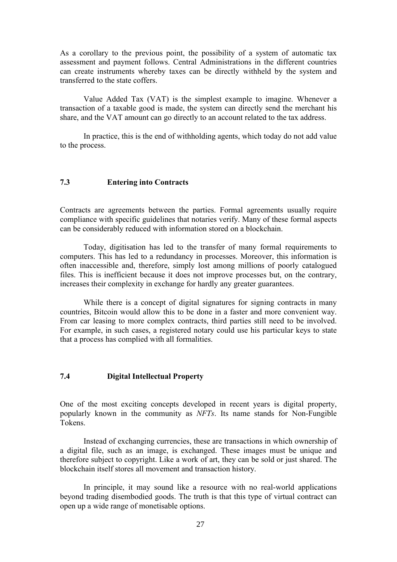As a corollary to the previous point, the possibility of a system of automatic tax assessment and payment follows. Central Administrations in the different countries can create instruments whereby taxes can be directly withheld by the system and transferred to the state coffers.

Value Added Tax (VAT) is the simplest example to imagine. Whenever a transaction of a taxable good is made, the system can directly send the merchant his share, and the VAT amount can go directly to an account related to the tax address.

In practice, this is the end of withholding agents, which today do not add value to the process.

# **7.3 Entering into Contracts**

Contracts are agreements between the parties. Formal agreements usually require compliance with specific guidelines that notaries verify. Many of these formal aspects can be considerably reduced with information stored on a blockchain.

Today, digitisation has led to the transfer of many formal requirements to computers. This has led to a redundancy in processes. Moreover, this information is often inaccessible and, therefore, simply lost among millions of poorly catalogued files. This is inefficient because it does not improve processes but, on the contrary, increases their complexity in exchange for hardly any greater guarantees.

While there is a concept of digital signatures for signing contracts in many countries, Bitcoin would allow this to be done in a faster and more convenient way. From car leasing to more complex contracts, third parties still need to be involved. For example, in such cases, a registered notary could use his particular keys to state that a process has complied with all formalities.

# **7.4 Digital Intellectual Property**

One of the most exciting concepts developed in recent years is digital property, popularly known in the community as *NFTs*. Its name stands for Non-Fungible

Instead of exchanging currencies, these are transactions in which ownership of a digital file, such as an image, is exchanged. These images must be unique and therefore subject to copyright. Like a work of art, they can be sold or just shared. The blockchain itself stores all movement and transaction history.

In principle, it may sound like a resource with no real-world applications beyond trading disembodied goods. The truth is that this type of virtual contract can open up a wide range of monetisable options.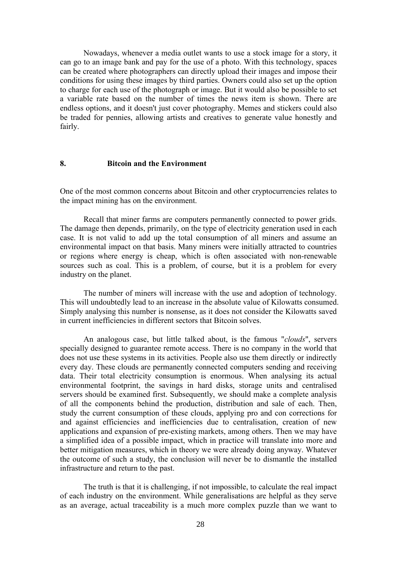Nowadays, whenever a media outlet wants to use a stock image for a story, it can go to an image bank and pay for the use of a photo. With this technology, spaces can be created where photographers can directly upload their images and impose their conditions for using these images by third parties. Owners could also set up the option to charge for each use of the photograph or image. But it would also be possible to set a variable rate based on the number of times the news item is shown. There are endless options, and it doesn't just cover photography. Memes and stickers could also be traded for pennies, allowing artists and creatives to generate value honestly and fairly.

#### **8. Bitcoin and the Environment**

One of the most common concerns about Bitcoin and other cryptocurrencies relates to the impact mining has on the environment.

Recall that miner farms are computers permanently connected to power grids. The damage then depends, primarily, on the type of electricity generation used in each case. It is not valid to add up the total consumption of all miners and assume an environmental impact on that basis. Many miners were initially attracted to countries or regions where energy is cheap, which is often associated with non-renewable sources such as coal. This is a problem, of course, but it is a problem for every industry on the planet.

The number of miners will increase with the use and adoption of technology. This will undoubtedly lead to an increase in the absolute value of Kilowatts consumed. Simply analysing this number is nonsense, as it does not consider the Kilowatts saved in current inefficiencies in different sectors that Bitcoin solves.

An analogous case, but little talked about, is the famous "*clouds*", servers specially designed to guarantee remote access. There is no company in the world that does not use these systems in its activities. People also use them directly or indirectly every day. These clouds are permanently connected computers sending and receiving data. Their total electricity consumption is enormous. When analysing its actual environmental footprint, the savings in hard disks, storage units and centralised servers should be examined first. Subsequently, we should make a complete analysis of all the components behind the production, distribution and sale of each. Then, study the current consumption of these clouds, applying pro and con corrections for and against efficiencies and inefficiencies due to centralisation, creation of new applications and expansion of pre-existing markets, among others. Then we may have a simplified idea of a possible impact, which in practice will translate into more and better mitigation measures, which in theory we were already doing anyway. Whatever the outcome of such a study, the conclusion will never be to dismantle the installed infrastructure and return to the past.

The truth is that it is challenging, if not impossible, to calculate the real impact of each industry on the environment. While generalisations are helpful as they serve as an average, actual traceability is a much more complex puzzle than we want to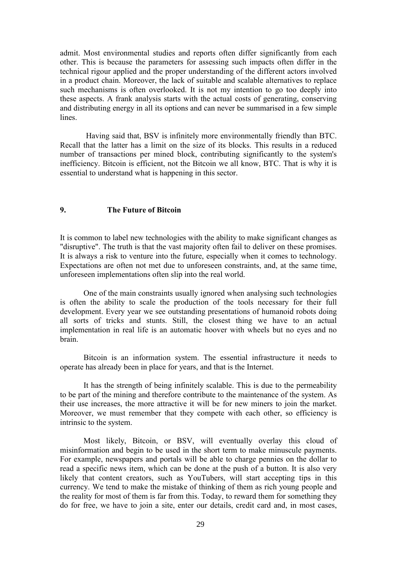admit. Most environmental studies and reports often differ significantly from each other. This is because the parameters for assessing such impacts often differ in the technical rigour applied and the proper understanding of the different actors involved in a product chain. Moreover, the lack of suitable and scalable alternatives to replace such mechanisms is often overlooked. It is not my intention to go too deeply into these aspects. A frank analysis starts with the actual costs of generating, conserving and distributing energy in all its options and can never be summarised in a few simple lines.

Having said that, BSV is infinitely more environmentally friendly than BTC. Recall that the latter has a limit on the size of its blocks. This results in a reduced number of transactions per mined block, contributing significantly to the system's inefficiency. Bitcoin is efficient, not the Bitcoin we all know, BTC. That is why it is essential to understand what is happening in this sector.

## **9. The Future of Bitcoin**

It is common to label new technologies with the ability to make significant changes as "disruptive". The truth is that the vast majority often fail to deliver on these promises. It is always a risk to venture into the future, especially when it comes to technology. Expectations are often not met due to unforeseen constraints, and, at the same time, unforeseen implementations often slip into the real world.

One of the main constraints usually ignored when analysing such technologies is often the ability to scale the production of the tools necessary for their full development. Every year we see outstanding presentations of humanoid robots doing all sorts of tricks and stunts. Still, the closest thing we have to an actual implementation in real life is an automatic hoover with wheels but no eyes and no brain.

Bitcoin is an information system. The essential infrastructure it needs to operate has already been in place for years, and that is the Internet.<br>It has the strength of being infinitely scalable. This is due to the permeability

to be part of the mining and therefore contribute to the maintenance of the system. As their use increases, the more attractive it will be for new miners to join the market. Moreover, we must remember that they compete with each other, so efficiency is intrinsic to the system.

Most likely, Bitcoin, or BSV, will eventually overlay this cloud of misinformation and begin to be used in the short term to make minuscule payments. For example, newspapers and portals will be able to charge pennies on the dollar to read a specific news item, which can be done at the push of a button. It is also very likely that content creators, such as YouTubers, will start accepting tips in this currency. We tend to make the mistake of thinking of them as rich young people and the reality for most of them is far from this. Today, to reward them for something they do for free, we have to join a site, enter our details, credit card and, in most cases,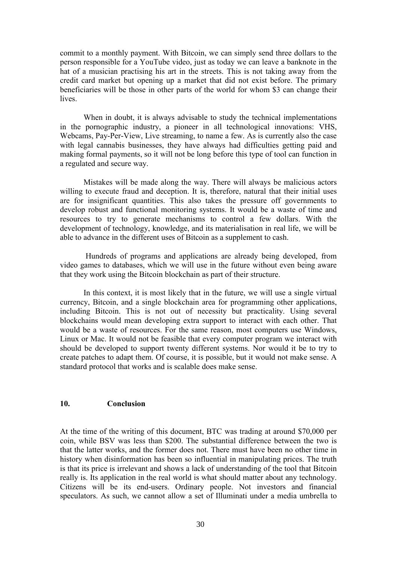commit to a monthly payment. With Bitcoin, we can simply send three dollars to the person responsible for a YouTube video, just as today we can leave a banknote in the hat of a musician practising his art in the streets. This is not taking away from the credit card market but opening up a market that did not exist before. The primary beneficiaries will be those in other parts of the world for whom \$3 can change their lives.

When in doubt, it is always advisable to study the technical implementations in the pornographic industry, a pioneer in all technological innovations: VHS, Webcams, Pay-Per-View, Live streaming, to name a few. As is currently also the case with legal cannabis businesses, they have always had difficulties getting paid and making formal payments, so it will not be long before this type of tool can function in a regulated and secure way.

Mistakes will be made along the way. There will always be malicious actors willing to execute fraud and deception. It is, therefore, natural that their initial uses are for insignificant quantities. This also takes the pressure off governments to develop robust and functional monitoring systems. It would be a waste of time and resources to try to generate mechanisms to control a few dollars. With the development of technology, knowledge, and its materialisation in real life, we will be able to advance in the different uses of Bitcoin as a supplement to cash.

Hundreds of programs and applications are already being developed, from video games to databases, which we will use in the future without even being aware that they work using the Bitcoin blockchain as part of their structure.

In this context, it is most likely that in the future, we will use a single virtual currency, Bitcoin, and a single blockchain area for programming other applications, including Bitcoin. This is not out of necessity but practicality. Using several blockchains would mean developing extra support to interact with each other. That would be a waste of resources. For the same reason, most computers use Windows, Linux or Mac. It would not be feasible that every computer program we interact with should be developed to support twenty different systems. Nor would it be to try to create patches to adapt them. Of course, it is possible, but it would not make sense. A standard protocol that works and is scalable does make sense.

#### **10. Conclusion**

At the time of the writing of this document, BTC was trading at around \$70,000 per coin, while BSV was less than \$200. The substantial difference between the two is that the latter works, and the former does not. There must have been no other time in history when disinformation has been so influential in manipulating prices. The truth is that its price is irrelevant and shows a lack of understanding of the tool that Bitcoin really is. Its application in the real world is what should matter about any technology. Citizens will be its end-users. Ordinary people. Not investors and financial speculators. As such, we cannot allow a set of Illuminati under a media umbrella to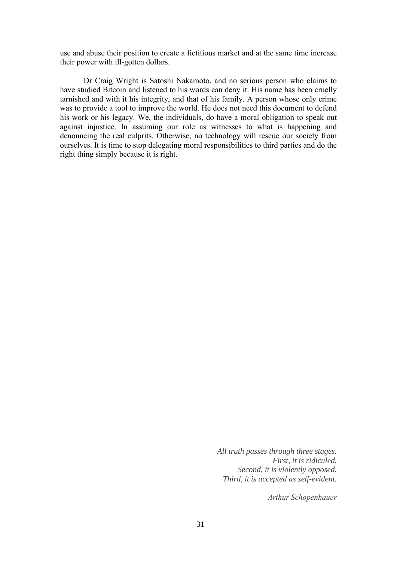use and abuse their position to create a fictitious market and at the same time increase their power with ill-gotten dollars.

Dr Craig Wright is Satoshi Nakamoto, and no serious person who claims to have studied Bitcoin and listened to his words can deny it. His name has been cruelly tarnished and with it his integrity, and that of his family. A person whose only crime was to provide a tool to improve the world. He does not need this document to defend his work or his legacy. We, the individuals, do have a moral obligation to speak out against injustice. In assuming our role as witnesses to what is happening and denouncing the real culprits. Otherwise, no technology will rescue our society from ourselves. It is time to stop delegating moral responsibilities to third parties and do the right thing simply because it is right.

> *All truth passes through three stages. First, it is ridiculed. Second, it is violently opposed. Third, it is accepted as self-evident.*

> > *Arthur [Schopenhauer](https://cs.uwaterloo.ca/~shallit/Papers/stages.pdf)*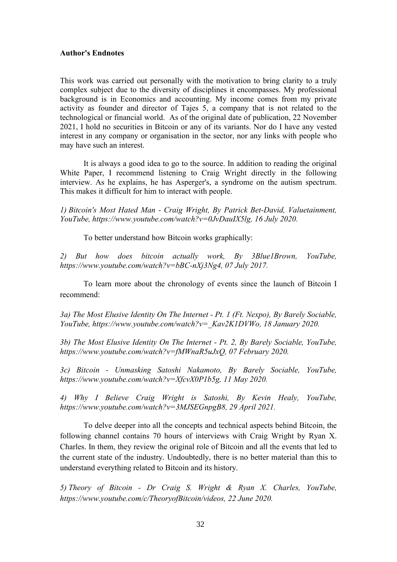#### **Author's Endnotes**

This work was carried out personally with the motivation to bring clarity to a truly complex subject due to the diversity of disciplines it encompasses. My professional background is in Economics and accounting. My income comes from my private activity as founder and director of Tajes 5, a company that is not related to the technological or financial world. As of the original date of publication, 22 November 2021, I hold no securities in Bitcoin or any of its variants. Nor do I have any vested interest in any company or organisation in the sector, nor any links with people who may have such an interest.

It is always a good idea to go to the source. In addition to reading the original White Paper, I recommend listening to Craig Wright directly in the following interview. As he explains, he has Asperger's, a syndrome on the autism spectrum. This makes it difficult for him to interact with people.

*1) Bitcoin's Most Hated Man - Craig Wright, By Patrick Bet-David, Valuetainment, YouTube, https://www.youtube.com/watch?v=0JvDauIX5lg, 16 July 2020.*

To better understand how Bitcoin works graphically:

*2) But how does bitcoin actually work, By 3Blue1Brown, YouTube, https://www.youtube.com/watch?v=bBC-nXj3Ng4, 07 July 2017.*

To learn more about the chronology of events since the launch of Bitcoin I recommend:

*3a) The Most Elusive Identity On The Internet - Pt. 1 (Ft. Nexpo), By Barely Sociable, YouTube, https://www.youtube.com/watch?v=\_Kav2K1DVWo, 18 January 2020.*

*3b) The Most Elusive Identity On The Internet - Pt. 2, By Barely Sociable, YouTube, https://www.youtube.com/watch?v=fMWnaR5uJxQ, 07 February 2020.*

*3c) Bitcoin - Unmasking Satoshi Nakamoto, By Barely Sociable, YouTube, https://www.youtube.com/watch?v=XfcvX0P1b5g, 11 May 2020.*

*4) Why I Believe Craig Wright is Satoshi, By Kevin Healy, YouTube, https://www.youtube.com/watch?v=3MJSEGnpgB8, 29 April 2021.*

To delve deeper into all the concepts and technical aspects behind Bitcoin, the following channel contains 70 hours of interviews with Craig Wright by Ryan X. Charles. In them, they review the original role of Bitcoin and all the events that led to the current state of the industry. Undoubtedly, there is no better material than this to understand everything related to Bitcoin and its history.

*5) Theory of Bitcoin - Dr Craig S. Wright & Ryan X. Charles, YouTube, https://www.youtube.com/c/TheoryofBitcoin/videos, 22 June 2020.*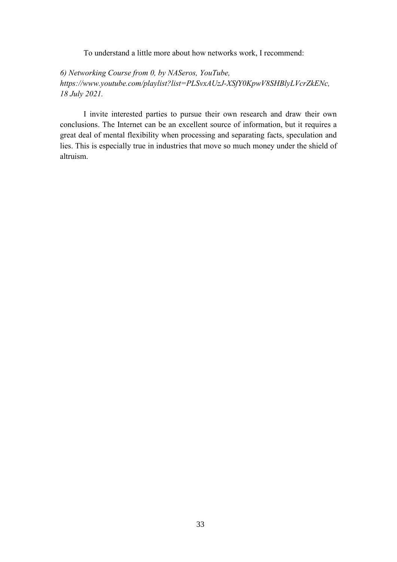To understand a little more about how networks work, I recommend:

*6) Networking Course from 0, by NASeros, YouTube, https://www.youtube.com/playlist?list=PLSvxAUzJ-XSfY0KpwV8SHBlyLVcrZkENc, 18 July 2021.*

I invite interested parties to pursue their own research and draw their own conclusions. The Internet can be an excellent source of information, but it requires a great deal of mental flexibility when processing and separating facts, speculation and lies. This is especially true in industries that move so much money under the shield of altruism.